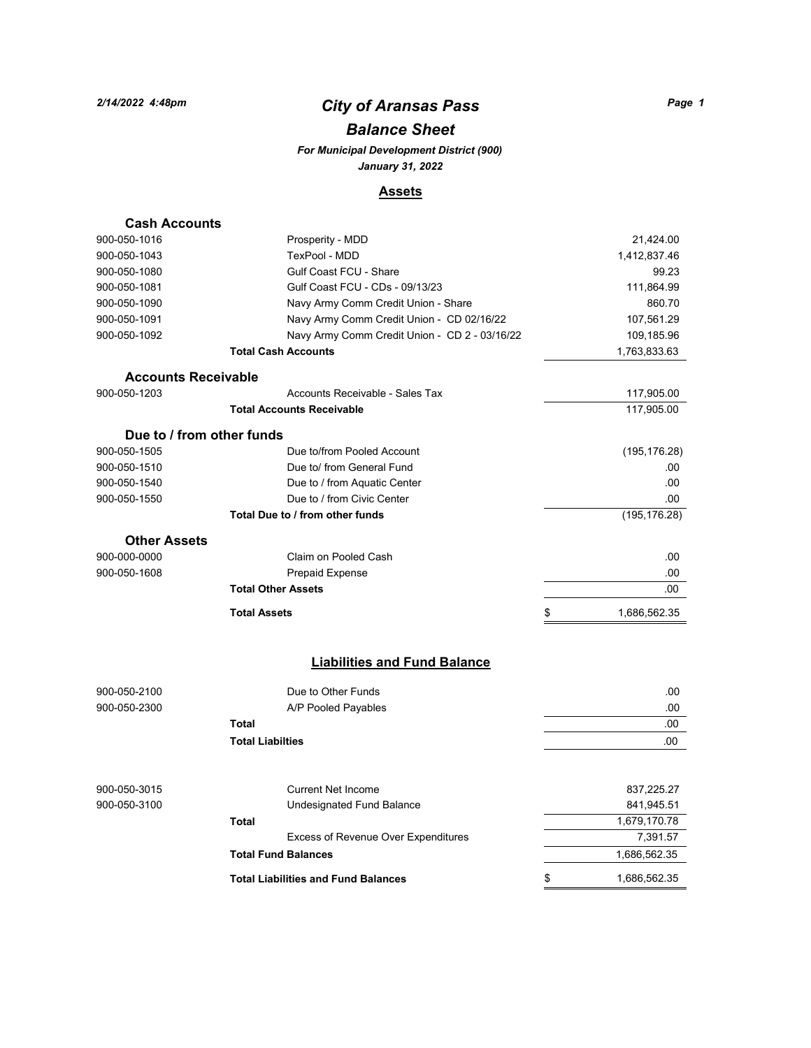## *City of Aransas Pass 2/14/2022 4:48pm Page 1*

## *Balance Sheet*

*For Municipal Development District (900) January 31, 2022*

#### **Assets**

| <b>Cash Accounts</b>       |                                               |                    |
|----------------------------|-----------------------------------------------|--------------------|
| 900-050-1016               | Prosperity - MDD                              | 21,424.00          |
| 900-050-1043               | TexPool - MDD                                 | 1,412,837.46       |
| 900-050-1080               | <b>Gulf Coast FCU - Share</b>                 | 99.23              |
| 900-050-1081               | Gulf Coast FCU - CDs - 09/13/23               | 111,864.99         |
| 900-050-1090               | Navy Army Comm Credit Union - Share           | 860.70             |
| 900-050-1091               | Navy Army Comm Credit Union - CD 02/16/22     | 107,561.29         |
| 900-050-1092               | Navy Army Comm Credit Union - CD 2 - 03/16/22 | 109,185.96         |
|                            | <b>Total Cash Accounts</b>                    | 1,763,833.63       |
| <b>Accounts Receivable</b> |                                               |                    |
| 900-050-1203               | Accounts Receivable - Sales Tax               | 117,905.00         |
|                            | <b>Total Accounts Receivable</b>              | 117,905.00         |
| Due to / from other funds  |                                               |                    |
| 900-050-1505               | Due to/from Pooled Account                    | (195, 176.28)      |
| 900-050-1510               | Due to/ from General Fund                     | .00                |
| 900-050-1540               | Due to / from Aquatic Center                  | .00                |
| 900-050-1550               | Due to / from Civic Center                    | .00                |
|                            | Total Due to / from other funds               | (195, 176.28)      |
| <b>Other Assets</b>        |                                               |                    |
| 900-000-0000               | Claim on Pooled Cash                          | .00                |
| 900-050-1608               | <b>Prepaid Expense</b>                        | .00                |
|                            | <b>Total Other Assets</b>                     | .00                |
|                            | <b>Total Assets</b>                           | \$<br>1,686,562.35 |
|                            | <b>Liabilities and Fund Balance</b>           |                    |
| 900-050-2100               | Due to Other Funds                            | .00                |
| 900-050-2300               | A/P Pooled Payables                           | .00                |
|                            | <b>Total</b>                                  | .00                |
|                            | <b>Total Liabilties</b>                       | .00                |
|                            |                                               |                    |
| 900-050-3015               | <b>Current Net Income</b>                     | 837,225.27         |
| 900-050-3100               | Undesignated Fund Balance                     | 841,945.51         |

**Total** 1,679,170.78

**Total Fund Balances** 1,686,562.35 **Total Liabilities and Fund Balances 1,686,562.35** 

Excess of Revenue Over Expenditures 7,391.57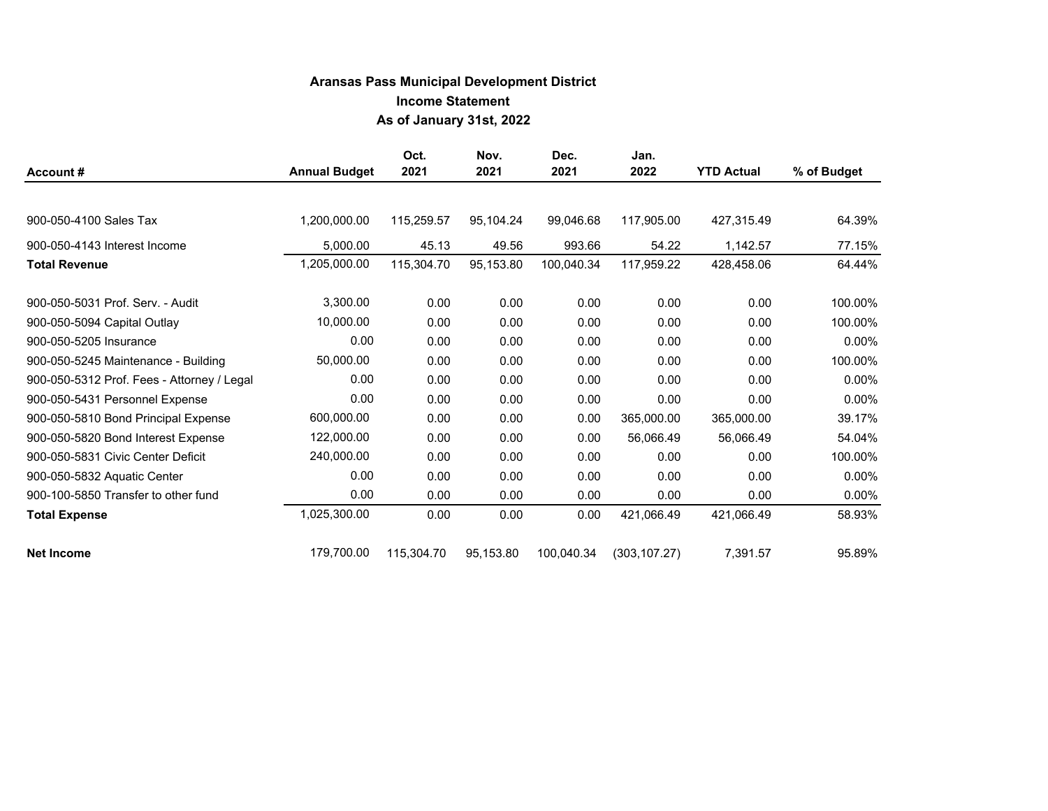## **Aransas Pass Municipal Development District Income Statement As of January 31st, 2022**

| Account#                                   | <b>Annual Budget</b> | Oct.<br>2021 | Nov.<br>2021 | Dec.<br>2021 | Jan.<br>2022  | <b>YTD Actual</b> | % of Budget |
|--------------------------------------------|----------------------|--------------|--------------|--------------|---------------|-------------------|-------------|
|                                            |                      |              |              |              |               |                   |             |
| 900-050-4100 Sales Tax                     | 1,200,000.00         | 115,259.57   | 95,104.24    | 99,046.68    | 117,905.00    | 427,315.49        | 64.39%      |
| 900-050-4143 Interest Income               | 5,000.00             | 45.13        | 49.56        | 993.66       | 54.22         | 1,142.57          | 77.15%      |
| <b>Total Revenue</b>                       | 1,205,000.00         | 115,304.70   | 95,153.80    | 100,040.34   | 117,959.22    | 428,458.06        | 64.44%      |
| 900-050-5031 Prof. Serv. - Audit           | 3,300.00             | 0.00         | 0.00         | 0.00         | 0.00          | 0.00              | 100.00%     |
| 900-050-5094 Capital Outlay                | 10,000.00            | 0.00         | 0.00         | 0.00         | 0.00          | 0.00              | 100.00%     |
| 900-050-5205 Insurance                     | 0.00                 | 0.00         | 0.00         | 0.00         | 0.00          | 0.00              | $0.00\%$    |
| 900-050-5245 Maintenance - Building        | 50,000.00            | 0.00         | 0.00         | 0.00         | 0.00          | 0.00              | 100.00%     |
| 900-050-5312 Prof. Fees - Attorney / Legal | 0.00                 | 0.00         | 0.00         | 0.00         | 0.00          | 0.00              | $0.00\%$    |
| 900-050-5431 Personnel Expense             | 0.00                 | 0.00         | 0.00         | 0.00         | 0.00          | 0.00              | $0.00\%$    |
| 900-050-5810 Bond Principal Expense        | 600,000.00           | 0.00         | 0.00         | 0.00         | 365,000.00    | 365,000.00        | 39.17%      |
| 900-050-5820 Bond Interest Expense         | 122,000.00           | 0.00         | 0.00         | 0.00         | 56,066.49     | 56,066.49         | 54.04%      |
| 900-050-5831 Civic Center Deficit          | 240,000.00           | 0.00         | 0.00         | 0.00         | 0.00          | 0.00              | 100.00%     |
| 900-050-5832 Aquatic Center                | 0.00                 | 0.00         | 0.00         | 0.00         | 0.00          | 0.00              | $0.00\%$    |
| 900-100-5850 Transfer to other fund        | 0.00                 | 0.00         | 0.00         | 0.00         | 0.00          | 0.00              | $0.00\%$    |
| <b>Total Expense</b>                       | 1,025,300.00         | 0.00         | 0.00         | 0.00         | 421,066.49    | 421,066.49        | 58.93%      |
| <b>Net Income</b>                          | 179,700.00           | 115,304.70   | 95,153.80    | 100,040.34   | (303, 107.27) | 7,391.57          | 95.89%      |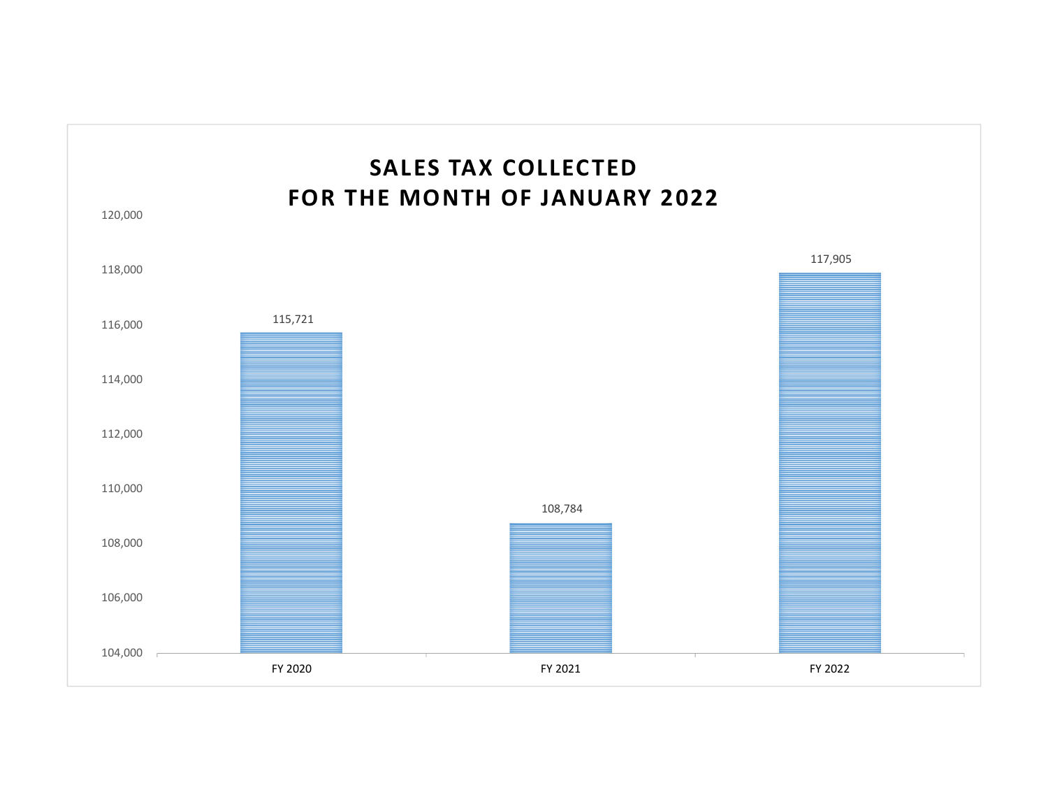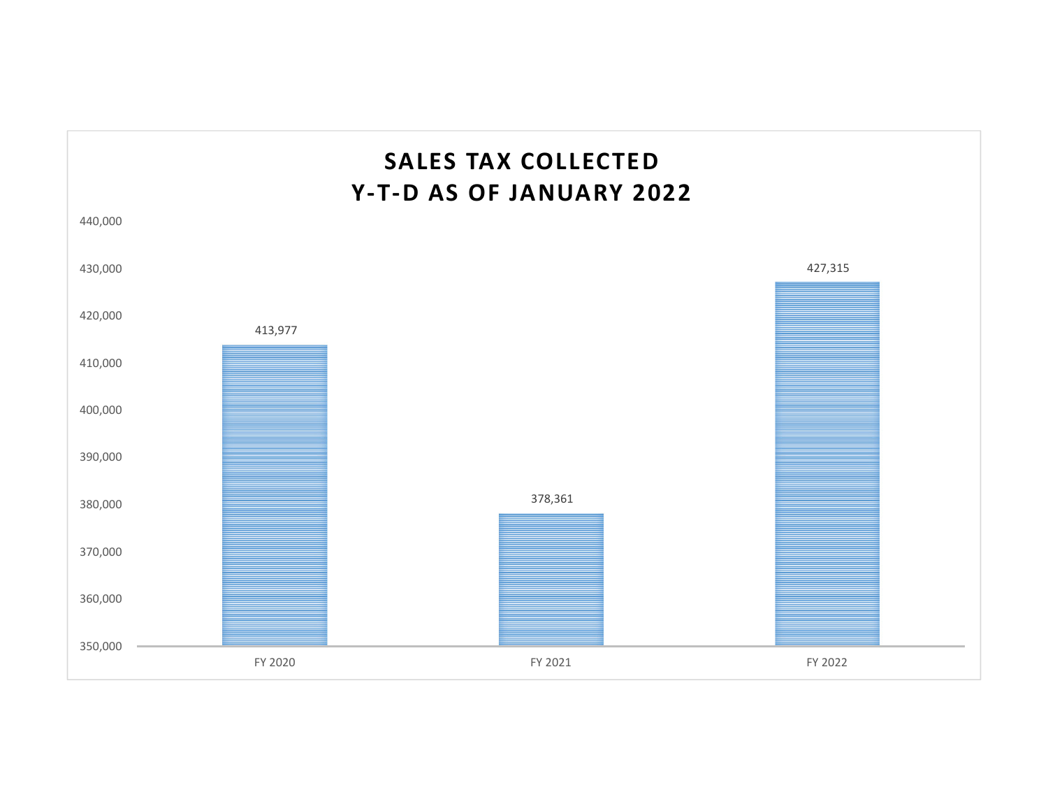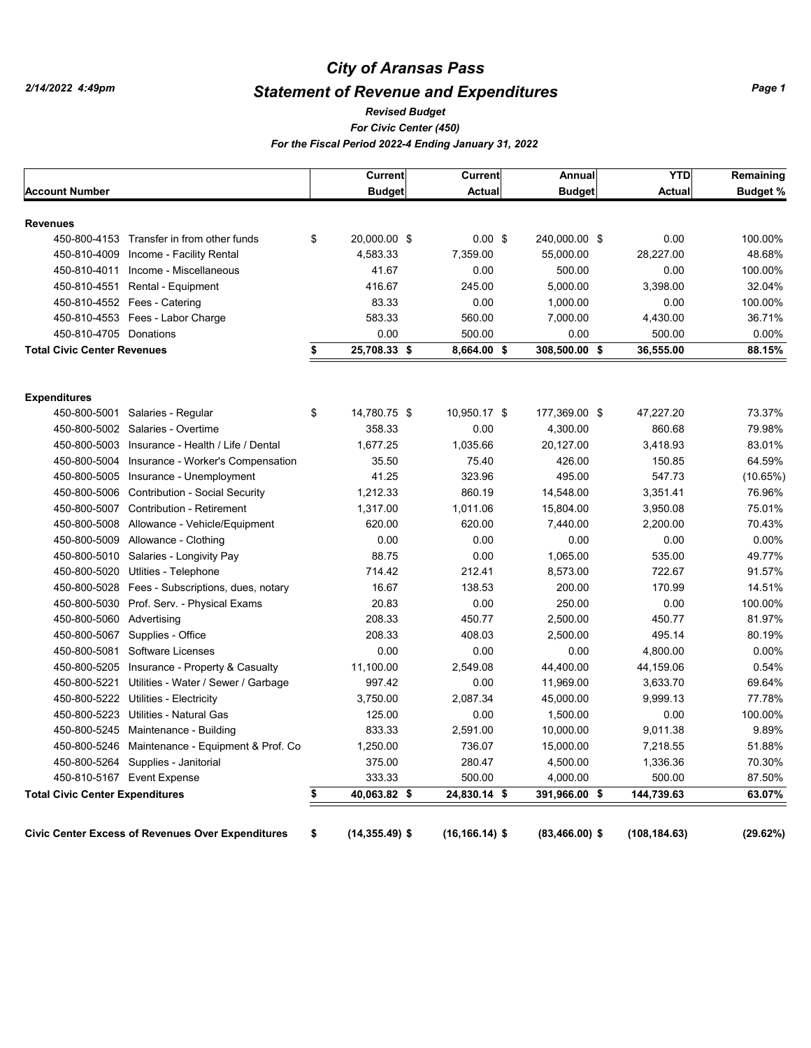## *City of Aransas Pass*

## *Statement of Revenue and Expenditures*

#### *Revised Budget*

*For Civic Center (450)*

*For the Fiscal Period 2022-4 Ending January 31, 2022*

|                                        |                                                          | <b>Current</b>          | <b>Current</b>     | Annual           | <b>YTD</b>    | Remaining       |
|----------------------------------------|----------------------------------------------------------|-------------------------|--------------------|------------------|---------------|-----------------|
| <b>Account Number</b>                  |                                                          | <b>Budget</b>           | <b>Actual</b>      | <b>Budget</b>    | <b>Actual</b> | <b>Budget %</b> |
| <b>Revenues</b>                        |                                                          |                         |                    |                  |               |                 |
|                                        | 450-800-4153 Transfer in from other funds                | \$<br>20,000.00 \$      | $0.00 \text{ }$ \$ | 240,000.00 \$    | 0.00          | 100.00%         |
|                                        | 450-810-4009 Income - Facility Rental                    | 4,583.33                | 7,359.00           | 55,000.00        | 28,227.00     | 48.68%          |
|                                        | 450-810-4011 Income - Miscellaneous                      | 41.67                   | 0.00               | 500.00           | 0.00          | 100.00%         |
|                                        | 450-810-4551 Rental - Equipment                          | 416.67                  | 245.00             | 5.000.00         | 3,398.00      | 32.04%          |
|                                        | 450-810-4552    Fees - Catering                          | 83.33                   | 0.00               | 1,000.00         | 0.00          | 100.00%         |
|                                        | 450-810-4553 Fees - Labor Charge                         | 583.33                  | 560.00             | 7,000.00         | 4,430.00      | 36.71%          |
| 450-810-4705 Donations                 |                                                          | 0.00                    | 500.00             | 0.00             | 500.00        | 0.00%           |
| <b>Total Civic Center Revenues</b>     |                                                          | \$<br>25,708.33 \$      | 8,664.00 \$        | 308,500.00 \$    | 36,555.00     | 88.15%          |
| <b>Expenditures</b>                    |                                                          |                         |                    |                  |               |                 |
| 450-800-5001                           | Salaries - Regular                                       | \$<br>14,780.75 \$      | 10,950.17 \$       | 177,369.00 \$    | 47,227.20     | 73.37%          |
|                                        | 450-800-5002 Salaries - Overtime                         | 358.33                  | 0.00               | 4,300.00         | 860.68        | 79.98%          |
| 450-800-5003                           | Insurance - Health / Life / Dental                       | 1,677.25                | 1,035.66           | 20,127.00        | 3,418.93      | 83.01%          |
|                                        | 450-800-5004 Insurance - Worker's Compensation           | 35.50                   | 75.40              | 426.00           | 150.85        | 64.59%          |
|                                        | 450-800-5005 Insurance - Unemployment                    | 41.25                   | 323.96             | 495.00           | 547.73        | (10.65%)        |
| 450-800-5006                           | <b>Contribution - Social Security</b>                    | 1,212.33                | 860.19             | 14,548.00        | 3,351.41      | 76.96%          |
|                                        | 450-800-5007 Contribution - Retirement                   | 1,317.00                | 1,011.06           | 15,804.00        | 3,950.08      | 75.01%          |
| 450-800-5008                           | Allowance - Vehicle/Equipment                            | 620.00                  | 620.00             | 7,440.00         | 2,200.00      | 70.43%          |
| 450-800-5009                           | Allowance - Clothing                                     | 0.00                    | 0.00               | 0.00             | 0.00          | 0.00%           |
|                                        | 450-800-5010 Salaries - Longivity Pay                    | 88.75                   | 0.00               | 1,065.00         | 535.00        | 49.77%          |
| 450-800-5020                           | Utlities - Telephone                                     | 714.42                  | 212.41             | 8,573.00         | 722.67        | 91.57%          |
| 450-800-5028                           | Fees - Subscriptions, dues, notary                       | 16.67                   | 138.53             | 200.00           | 170.99        | 14.51%          |
|                                        | 450-800-5030 Prof. Serv. - Physical Exams                | 20.83                   | 0.00               | 250.00           | 0.00          | 100.00%         |
| 450-800-5060 Advertising               |                                                          | 208.33                  | 450.77             | 2,500.00         | 450.77        | 81.97%          |
|                                        | 450-800-5067 Supplies - Office                           | 208.33                  | 408.03             | 2,500.00         | 495.14        | 80.19%          |
|                                        | 450-800-5081 Software Licenses                           | 0.00                    | 0.00               | 0.00             | 4,800.00      | 0.00%           |
| 450-800-5205                           | Insurance - Property & Casualty                          | 11,100.00               | 2,549.08           | 44,400.00        | 44,159.06     | 0.54%           |
| 450-800-5221                           | Utilities - Water / Sewer / Garbage                      | 997.42                  | 0.00               | 11,969.00        | 3,633.70      | 69.64%          |
|                                        | 450-800-5222 Utilities - Electricity                     | 3,750.00                | 2,087.34           | 45,000.00        | 9,999.13      | 77.78%          |
|                                        | 450-800-5223 Utilities - Natural Gas                     | 125.00                  | 0.00               | 1,500.00         | 0.00          | 100.00%         |
|                                        | 450-800-5245 Maintenance - Building                      | 833.33                  | 2,591.00           | 10,000.00        | 9,011.38      | 9.89%           |
|                                        | 450-800-5246 Maintenance - Equipment & Prof. Co          | 1,250.00                | 736.07             | 15,000.00        | 7,218.55      | 51.88%          |
|                                        | 450-800-5264 Supplies - Janitorial                       | 375.00                  | 280.47             | 4,500.00         | 1,336.36      | 70.30%          |
|                                        | 450-810-5167 Event Expense                               | 333.33                  | 500.00             | 4,000.00         | 500.00        | 87.50%          |
| <b>Total Civic Center Expenditures</b> |                                                          | \$<br>40,063.82 \$      | 24,830.14 \$       | 391,966.00 \$    | 144,739.63    | 63.07%          |
|                                        | <b>Civic Center Excess of Revenues Over Expenditures</b> | \$<br>$(14, 355.49)$ \$ | $(16, 166, 14)$ \$ | $(83,466.00)$ \$ | (108, 184.63) | (29.62%)        |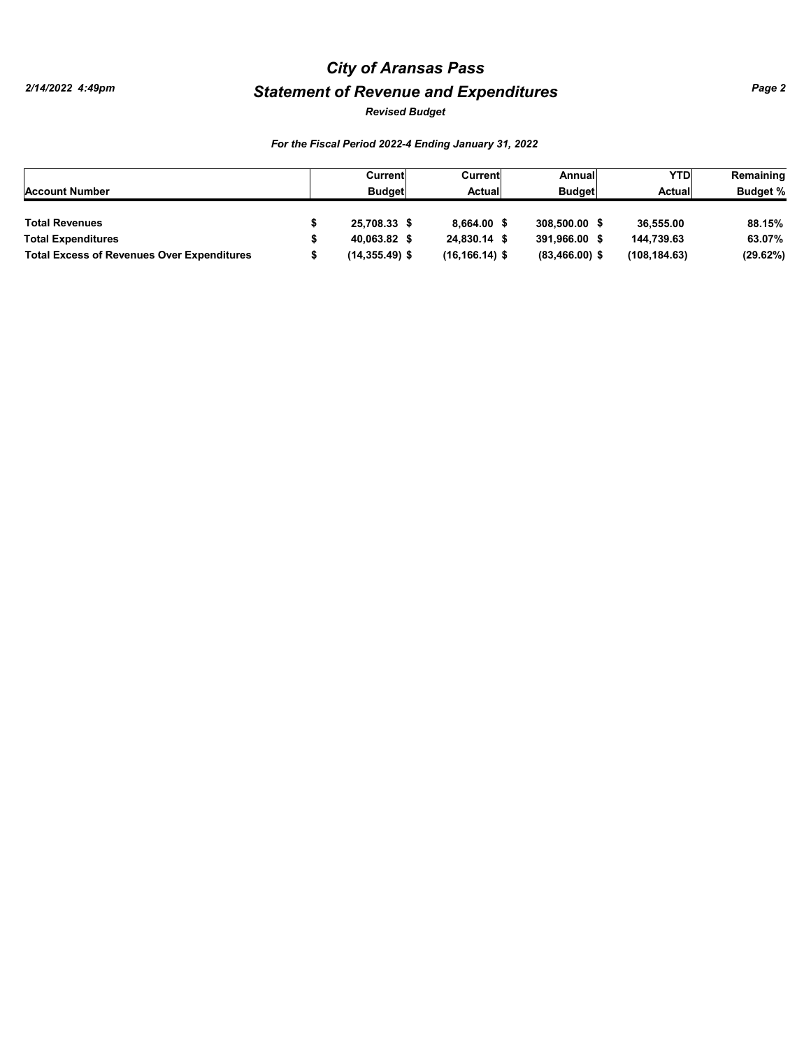# *Statement of Revenue and Expenditures City of Aransas Pass*

*Revised Budget*

### *For the Fiscal Period 2022-4 Ending January 31, 2022*

|                                                   | Current           | Current            | Annuall          | <b>YTD</b>    | Remaining       |
|---------------------------------------------------|-------------------|--------------------|------------------|---------------|-----------------|
| <b>Account Number</b>                             | <b>Budget</b>     | Actual             | <b>Budget</b>    | Actual        | <b>Budget %</b> |
|                                                   |                   |                    |                  |               |                 |
| <b>Total Revenues</b>                             | 25.708.33 \$      | 8.664.00           | 308,500,00 \$    | 36.555.00     | 88.15%          |
| <b>Total Expenditures</b>                         | 40.063.82 \$      | 24.830.14 \$       | 391.966.00 \$    | 144.739.63    | 63.07%          |
| <b>Total Excess of Revenues Over Expenditures</b> | $(14, 355.49)$ \$ | $(16, 166, 14)$ \$ | $(83,466.00)$ \$ | (108, 184.63) | (29.62%)        |

*Page 2*